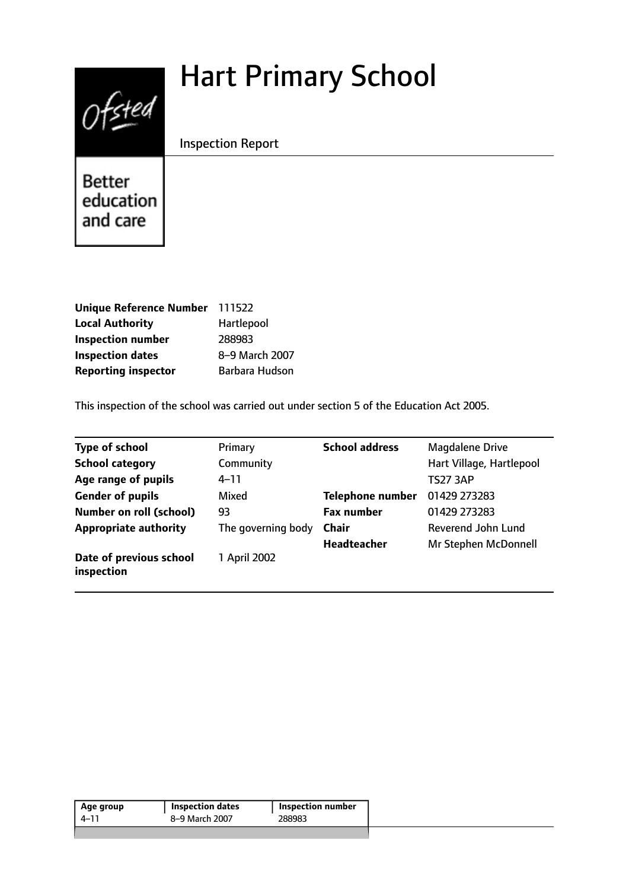# Hart Primary School



Inspection Report

Better education and care

| <b>Unique Reference Number</b> | 111522         |
|--------------------------------|----------------|
| <b>Local Authority</b>         | Hartlepool     |
| <b>Inspection number</b>       | 288983         |
| <b>Inspection dates</b>        | 8-9 March 2007 |
| <b>Reporting inspector</b>     | Barbara Hudson |

This inspection of the school was carried out under section 5 of the Education Act 2005.

| <b>Type of school</b>                 | Primary            | <b>School address</b>   | <b>Magdalene Drive</b>   |
|---------------------------------------|--------------------|-------------------------|--------------------------|
| <b>School category</b>                | Community          |                         | Hart Village, Hartlepool |
| Age range of pupils                   | $4 - 11$           |                         | <b>TS27 3AP</b>          |
| <b>Gender of pupils</b>               | Mixed              | <b>Telephone number</b> | 01429 273283             |
| <b>Number on roll (school)</b>        | 93                 | <b>Fax number</b>       | 01429 273283             |
| <b>Appropriate authority</b>          | The governing body | <b>Chair</b>            | Reverend John Lund       |
|                                       |                    | <b>Headteacher</b>      | Mr Stephen McDonnell     |
| Date of previous school<br>inspection | 1 April 2002       |                         |                          |

| 8–9 March 2007<br>288983<br>4–11 | Age group | <b>Inspection dates</b> | Inspection number |
|----------------------------------|-----------|-------------------------|-------------------|
|                                  |           |                         |                   |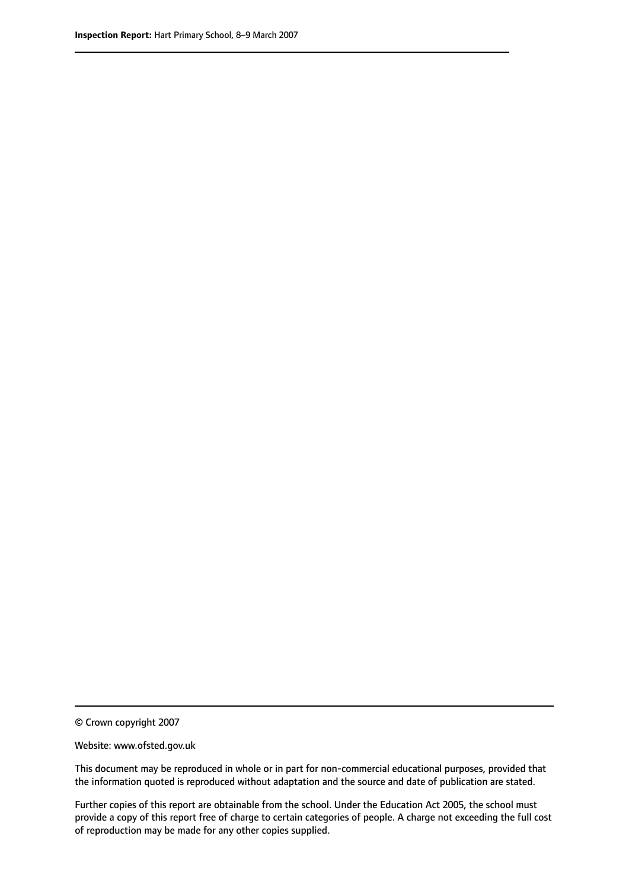© Crown copyright 2007

Website: www.ofsted.gov.uk

This document may be reproduced in whole or in part for non-commercial educational purposes, provided that the information quoted is reproduced without adaptation and the source and date of publication are stated.

Further copies of this report are obtainable from the school. Under the Education Act 2005, the school must provide a copy of this report free of charge to certain categories of people. A charge not exceeding the full cost of reproduction may be made for any other copies supplied.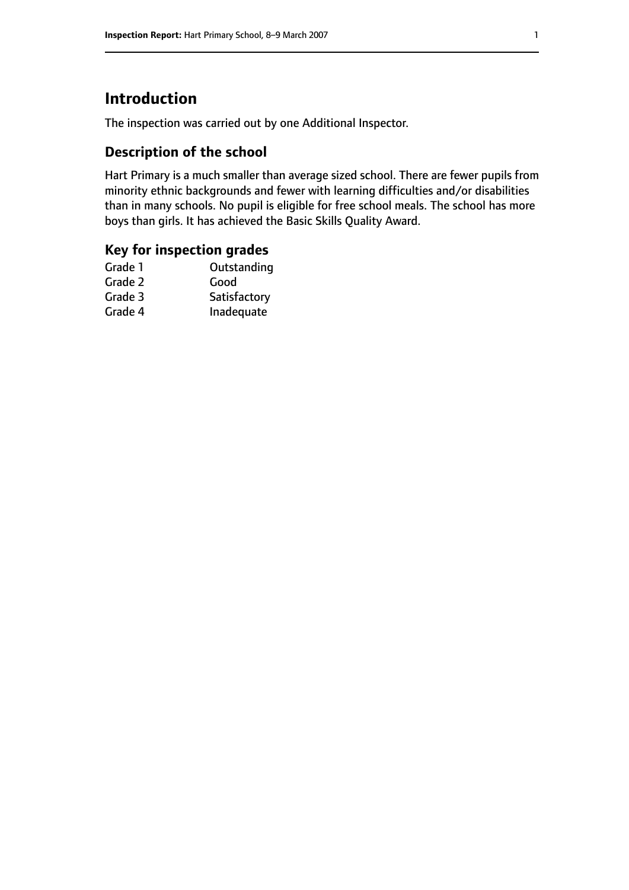# **Introduction**

The inspection was carried out by one Additional Inspector.

## **Description of the school**

Hart Primary is a much smaller than average sized school. There are fewer pupils from minority ethnic backgrounds and fewer with learning difficulties and/or disabilities than in many schools. No pupil is eligible for free school meals. The school has more boys than girls. It has achieved the Basic Skills Quality Award.

### **Key for inspection grades**

| Outstanding  |
|--------------|
| Good         |
| Satisfactory |
| Inadequate   |
|              |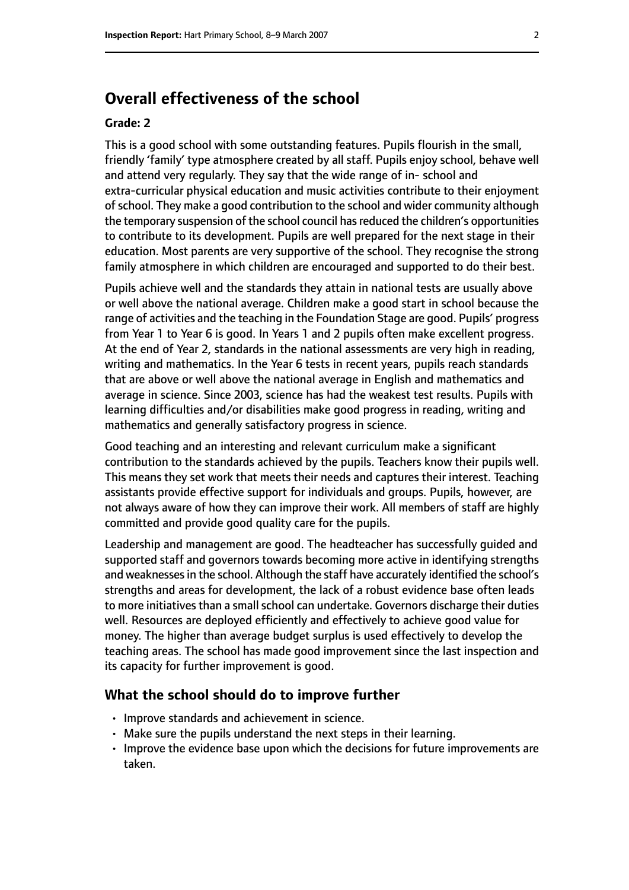# **Overall effectiveness of the school**

#### **Grade: 2**

This is a good school with some outstanding features. Pupils flourish in the small, friendly 'family' type atmosphere created by all staff. Pupils enjoy school, behave well and attend very regularly. They say that the wide range of in- school and extra-curricular physical education and music activities contribute to their enjoyment of school. They make a good contribution to the school and wider community although the temporary suspension of the school council has reduced the children's opportunities to contribute to its development. Pupils are well prepared for the next stage in their education. Most parents are very supportive of the school. They recognise the strong family atmosphere in which children are encouraged and supported to do their best.

Pupils achieve well and the standards they attain in national tests are usually above or well above the national average. Children make a good start in school because the range of activities and the teaching in the Foundation Stage are good. Pupils' progress from Year 1 to Year 6 is good. In Years 1 and 2 pupils often make excellent progress. At the end of Year 2, standards in the national assessments are very high in reading, writing and mathematics. In the Year 6 tests in recent years, pupils reach standards that are above or well above the national average in English and mathematics and average in science. Since 2003, science has had the weakest test results. Pupils with learning difficulties and/or disabilities make good progress in reading, writing and mathematics and generally satisfactory progress in science.

Good teaching and an interesting and relevant curriculum make a significant contribution to the standards achieved by the pupils. Teachers know their pupils well. This means they set work that meets their needs and captures their interest. Teaching assistants provide effective support for individuals and groups. Pupils, however, are not always aware of how they can improve their work. All members of staff are highly committed and provide good quality care for the pupils.

Leadership and management are good. The headteacher has successfully guided and supported staff and governors towards becoming more active in identifying strengths and weaknessesin the school. Although the staff have accurately identified the school's strengths and areas for development, the lack of a robust evidence base often leads to more initiatives than a small school can undertake. Governors discharge their duties well. Resources are deployed efficiently and effectively to achieve good value for money. The higher than average budget surplus is used effectively to develop the teaching areas. The school has made good improvement since the last inspection and its capacity for further improvement is good.

#### **What the school should do to improve further**

- Improve standards and achievement in science.
- Make sure the pupils understand the next steps in their learning.
- Improve the evidence base upon which the decisions for future improvements are taken.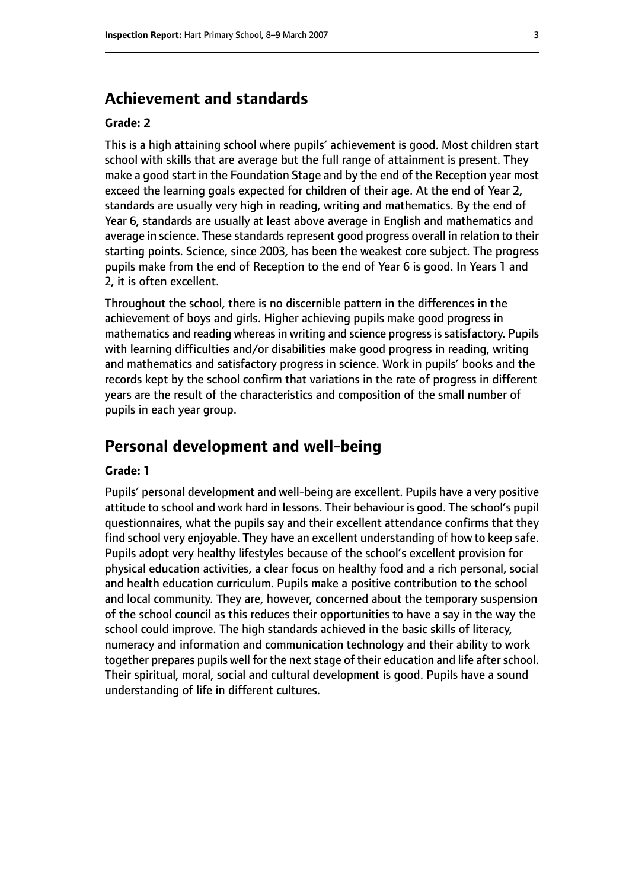## **Achievement and standards**

#### **Grade: 2**

This is a high attaining school where pupils' achievement is good. Most children start school with skills that are average but the full range of attainment is present. They make a good start in the Foundation Stage and by the end of the Reception year most exceed the learning goals expected for children of their age. At the end of Year 2, standards are usually very high in reading, writing and mathematics. By the end of Year 6, standards are usually at least above average in English and mathematics and average in science. These standards represent good progress overall in relation to their starting points. Science, since 2003, has been the weakest core subject. The progress pupils make from the end of Reception to the end of Year 6 is good. In Years 1 and 2, it is often excellent.

Throughout the school, there is no discernible pattern in the differences in the achievement of boys and girls. Higher achieving pupils make good progress in mathematics and reading whereas in writing and science progress is satisfactory. Pupils with learning difficulties and/or disabilities make good progress in reading, writing and mathematics and satisfactory progress in science. Work in pupils' books and the records kept by the school confirm that variations in the rate of progress in different years are the result of the characteristics and composition of the small number of pupils in each year group.

# **Personal development and well-being**

#### **Grade: 1**

Pupils' personal development and well-being are excellent. Pupils have a very positive attitude to school and work hard in lessons. Their behaviour is good. The school's pupil questionnaires, what the pupils say and their excellent attendance confirms that they find school very enjoyable. They have an excellent understanding of how to keep safe. Pupils adopt very healthy lifestyles because of the school's excellent provision for physical education activities, a clear focus on healthy food and a rich personal, social and health education curriculum. Pupils make a positive contribution to the school and local community. They are, however, concerned about the temporary suspension of the school council as this reduces their opportunities to have a say in the way the school could improve. The high standards achieved in the basic skills of literacy, numeracy and information and communication technology and their ability to work together prepares pupils well for the next stage of their education and life after school. Their spiritual, moral, social and cultural development is good. Pupils have a sound understanding of life in different cultures.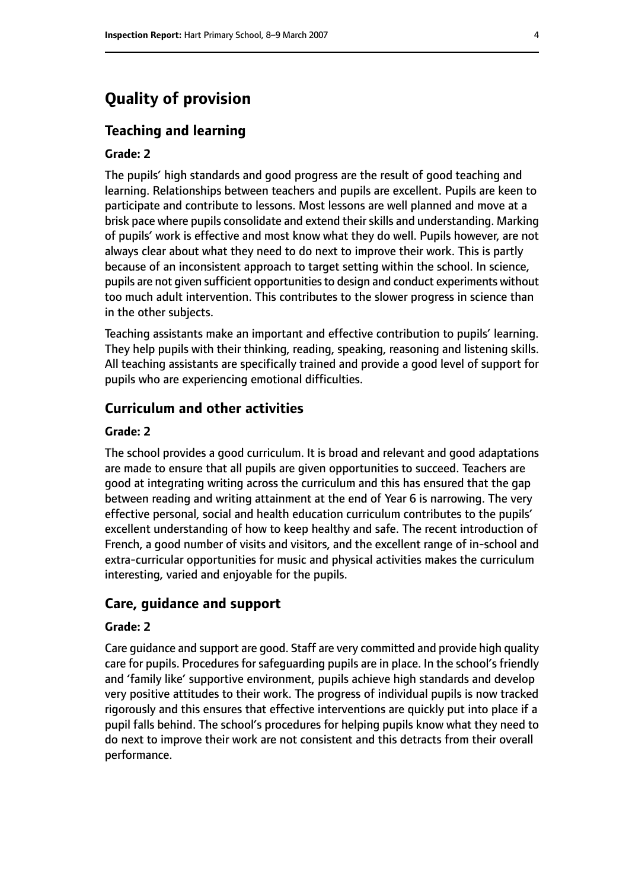# **Quality of provision**

#### **Teaching and learning**

#### **Grade: 2**

The pupils' high standards and good progress are the result of good teaching and learning. Relationships between teachers and pupils are excellent. Pupils are keen to participate and contribute to lessons. Most lessons are well planned and move at a brisk pace where pupils consolidate and extend their skills and understanding. Marking of pupils' work is effective and most know what they do well. Pupils however, are not always clear about what they need to do next to improve their work. This is partly because of an inconsistent approach to target setting within the school. In science, pupils are not given sufficient opportunities to design and conduct experiments without too much adult intervention. This contributes to the slower progress in science than in the other subjects.

Teaching assistants make an important and effective contribution to pupils' learning. They help pupils with their thinking, reading, speaking, reasoning and listening skills. All teaching assistants are specifically trained and provide a good level of support for pupils who are experiencing emotional difficulties.

### **Curriculum and other activities**

#### **Grade: 2**

The school provides a good curriculum. It is broad and relevant and good adaptations are made to ensure that all pupils are given opportunities to succeed. Teachers are good at integrating writing across the curriculum and this has ensured that the gap between reading and writing attainment at the end of Year 6 is narrowing. The very effective personal, social and health education curriculum contributes to the pupils' excellent understanding of how to keep healthy and safe. The recent introduction of French, a good number of visits and visitors, and the excellent range of in-school and extra-curricular opportunities for music and physical activities makes the curriculum interesting, varied and enjoyable for the pupils.

#### **Care, guidance and support**

#### **Grade: 2**

Care guidance and support are good. Staff are very committed and provide high quality care for pupils. Procedures for safeguarding pupils are in place. In the school's friendly and 'family like' supportive environment, pupils achieve high standards and develop very positive attitudes to their work. The progress of individual pupils is now tracked rigorously and this ensures that effective interventions are quickly put into place if a pupil falls behind. The school's procedures for helping pupils know what they need to do next to improve their work are not consistent and this detracts from their overall performance.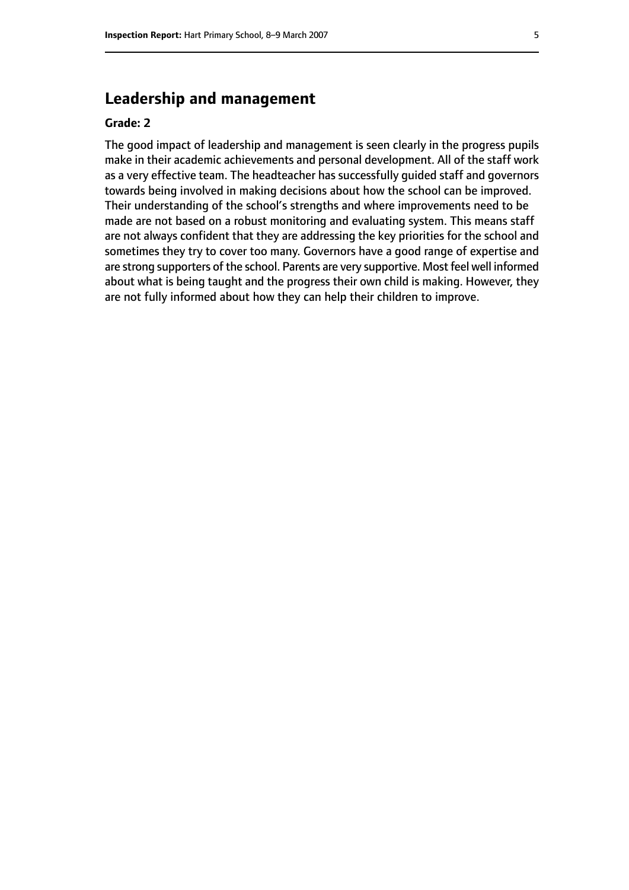# **Leadership and management**

#### **Grade: 2**

The good impact of leadership and management is seen clearly in the progress pupils make in their academic achievements and personal development. All of the staff work as a very effective team. The headteacher has successfully guided staff and governors towards being involved in making decisions about how the school can be improved. Their understanding of the school's strengths and where improvements need to be made are not based on a robust monitoring and evaluating system. This means staff are not always confident that they are addressing the key priorities for the school and sometimes they try to cover too many. Governors have a good range of expertise and are strong supporters of the school. Parents are very supportive. Most feel well informed about what is being taught and the progress their own child is making. However, they are not fully informed about how they can help their children to improve.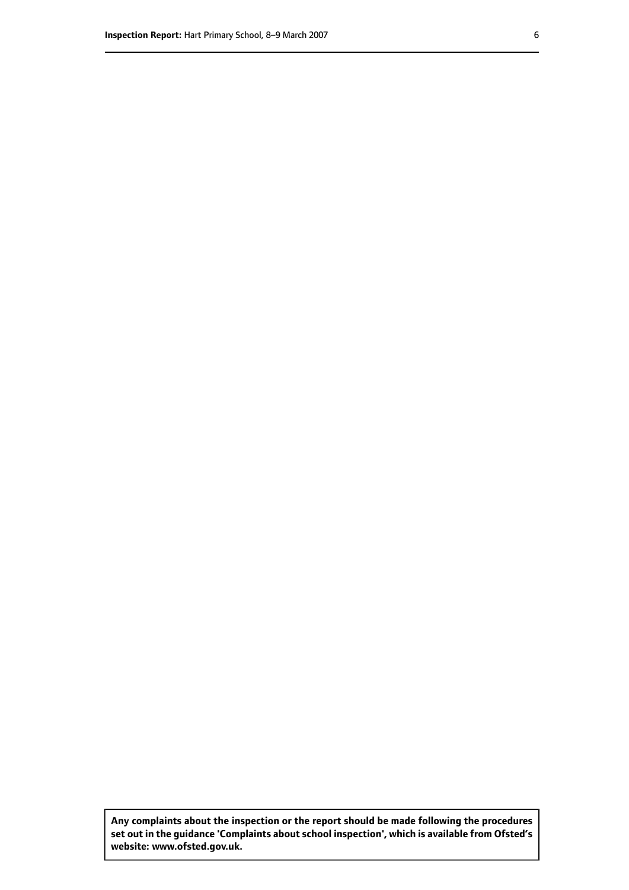**Any complaints about the inspection or the report should be made following the procedures set out inthe guidance 'Complaints about school inspection', whichis available from Ofsted's website: www.ofsted.gov.uk.**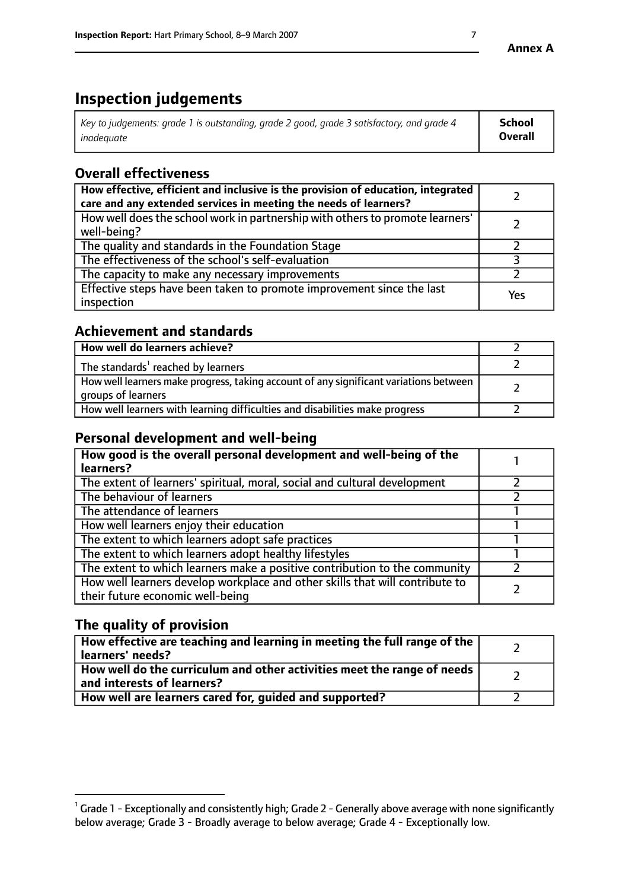# **Inspection judgements**

| $^{\circ}$ Key to judgements: grade 1 is outstanding, grade 2 good, grade 3 satisfactory, and grade 4 $^{\circ}$ | <b>School</b>  |
|------------------------------------------------------------------------------------------------------------------|----------------|
| inadeauate                                                                                                       | <b>Overall</b> |

# **Overall effectiveness**

| How effective, efficient and inclusive is the provision of education, integrated<br>care and any extended services in meeting the needs of learners? |     |
|------------------------------------------------------------------------------------------------------------------------------------------------------|-----|
| How well does the school work in partnership with others to promote learners'<br>well-being?                                                         |     |
| The quality and standards in the Foundation Stage                                                                                                    |     |
| The effectiveness of the school's self-evaluation                                                                                                    |     |
| The capacity to make any necessary improvements                                                                                                      |     |
| Effective steps have been taken to promote improvement since the last<br>inspection                                                                  | Yes |

## **Achievement and standards**

| How well do learners achieve?                                                                               |  |
|-------------------------------------------------------------------------------------------------------------|--|
| The standards <sup>1</sup> reached by learners                                                              |  |
| How well learners make progress, taking account of any significant variations between<br>groups of learners |  |
| How well learners with learning difficulties and disabilities make progress                                 |  |

## **Personal development and well-being**

| How good is the overall personal development and well-being of the<br>learners?                                  |  |
|------------------------------------------------------------------------------------------------------------------|--|
| The extent of learners' spiritual, moral, social and cultural development                                        |  |
| The behaviour of learners                                                                                        |  |
| The attendance of learners                                                                                       |  |
| How well learners enjoy their education                                                                          |  |
| The extent to which learners adopt safe practices                                                                |  |
| The extent to which learners adopt healthy lifestyles                                                            |  |
| The extent to which learners make a positive contribution to the community                                       |  |
| How well learners develop workplace and other skills that will contribute to<br>their future economic well-being |  |

## **The quality of provision**

| How effective are teaching and learning in meeting the full range of the<br>learners' needs?          |  |
|-------------------------------------------------------------------------------------------------------|--|
| How well do the curriculum and other activities meet the range of needs<br>and interests of learners? |  |
| How well are learners cared for, guided and supported?                                                |  |

 $^1$  Grade 1 - Exceptionally and consistently high; Grade 2 - Generally above average with none significantly below average; Grade 3 - Broadly average to below average; Grade 4 - Exceptionally low.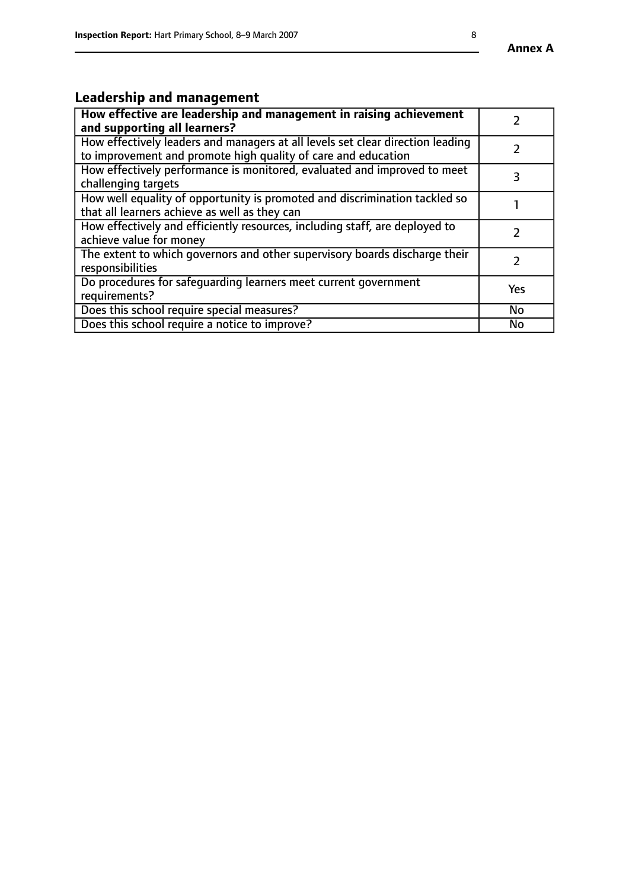# **Leadership and management**

| How effective are leadership and management in raising achievement<br>and supporting all learners?                                              |               |
|-------------------------------------------------------------------------------------------------------------------------------------------------|---------------|
| How effectively leaders and managers at all levels set clear direction leading<br>to improvement and promote high quality of care and education |               |
| How effectively performance is monitored, evaluated and improved to meet<br>challenging targets                                                 | 3             |
| How well equality of opportunity is promoted and discrimination tackled so<br>that all learners achieve as well as they can                     |               |
| How effectively and efficiently resources, including staff, are deployed to<br>achieve value for money                                          | $\mathcal{P}$ |
| The extent to which governors and other supervisory boards discharge their<br>responsibilities                                                  |               |
| Do procedures for safequarding learners meet current government<br>requirements?                                                                | Yes           |
| Does this school require special measures?                                                                                                      | No            |
| Does this school require a notice to improve?                                                                                                   | <b>No</b>     |